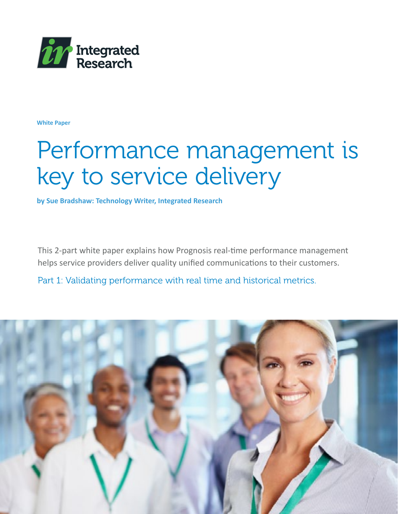

**White Paper**

# Performance management is key to service delivery

**by Sue Bradshaw: Technology Writer, Integrated Research**

This 2-part white paper explains how Prognosis real-time performance management helps service providers deliver quality unified communications to their customers.

Part 1: Validating performance with real time and historical metrics.

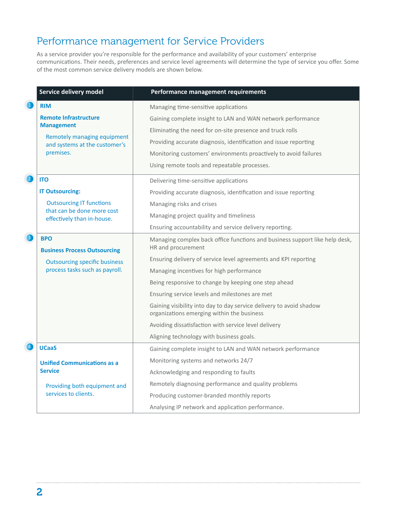### Performance management for Service Providers

As a service provider you're responsible for the performance and availability of your customers' enterprise communications. Their needs, preferences and service level agreements will determine the type of service you offer. Some of the most common service delivery models are shown below.

|                                                | Service delivery model                                                                                                         | Performance management requirements                                                                               |
|------------------------------------------------|--------------------------------------------------------------------------------------------------------------------------------|-------------------------------------------------------------------------------------------------------------------|
| $\left( \begin{matrix} 1 \end{matrix} \right)$ | <b>RIM</b>                                                                                                                     | Managing time-sensitive applications                                                                              |
|                                                | <b>Remote Infrastructure</b><br><b>Management</b><br>Remotely managing equipment<br>and systems at the customer's<br>premises. | Gaining complete insight to LAN and WAN network performance                                                       |
|                                                |                                                                                                                                | Eliminating the need for on-site presence and truck rolls                                                         |
|                                                |                                                                                                                                | Providing accurate diagnosis, identification and issue reporting                                                  |
|                                                |                                                                                                                                | Monitoring customers' environments proactively to avoid failures                                                  |
|                                                |                                                                                                                                | Using remote tools and repeatable processes.                                                                      |
| $\left( 2\right)$                              | <b>ITO</b>                                                                                                                     | Delivering time-sensitive applications                                                                            |
|                                                | <b>IT Outsourcing:</b>                                                                                                         | Providing accurate diagnosis, identification and issue reporting                                                  |
|                                                | <b>Outsourcing IT functions</b><br>that can be done more cost<br>effectively than in-house.                                    | Managing risks and crises                                                                                         |
|                                                |                                                                                                                                | Managing project quality and timeliness                                                                           |
|                                                |                                                                                                                                | Ensuring accountability and service delivery reporting.                                                           |
| 3                                              | <b>BPO</b><br><b>Business Process Outsourcing</b>                                                                              | Managing complex back office functions and business support like help desk,<br>HR and procurement                 |
|                                                | <b>Outsourcing specific business</b><br>process tasks such as payroll.                                                         | Ensuring delivery of service level agreements and KPI reporting                                                   |
|                                                |                                                                                                                                | Managing incentives for high performance                                                                          |
|                                                |                                                                                                                                | Being responsive to change by keeping one step ahead                                                              |
|                                                |                                                                                                                                | Ensuring service levels and milestones are met                                                                    |
|                                                |                                                                                                                                | Gaining visibility into day to day service delivery to avoid shadow<br>organizations emerging within the business |
|                                                |                                                                                                                                | Avoiding dissatisfaction with service level delivery                                                              |
|                                                |                                                                                                                                | Aligning technology with business goals.                                                                          |
| $\left( 4\right)$                              | <b>UCaaS</b>                                                                                                                   | Gaining complete insight to LAN and WAN network performance                                                       |
|                                                | <b>Unified Communications as a</b><br><b>Service</b>                                                                           | Monitoring systems and networks 24/7                                                                              |
|                                                |                                                                                                                                | Acknowledging and responding to faults                                                                            |
|                                                | Providing both equipment and<br>services to clients.                                                                           | Remotely diagnosing performance and quality problems                                                              |
|                                                |                                                                                                                                | Producing customer-branded monthly reports                                                                        |
|                                                |                                                                                                                                | Analysing IP network and application performance.                                                                 |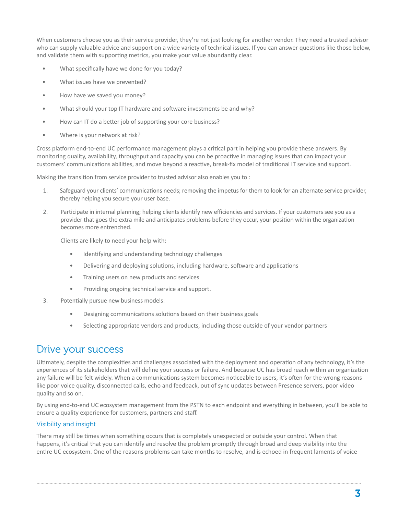When customers choose you as their service provider, they're not just looking for another vendor. They need a trusted advisor who can supply valuable advice and support on a wide variety of technical issues. If you can answer questions like those below, and validate them with supporting metrics, you make your value abundantly clear.

- What specifically have we done for you today?
- What issues have we prevented?
- How have we saved you money?
- What should your top IT hardware and software investments be and why?
- How can IT do a better job of supporting your core business?
- Where is your network at risk?

Cross platform end-to-end UC performance management plays a critical part in helping you provide these answers. By monitoring quality, availability, throughput and capacity you can be proactive in managing issues that can impact your customers' communications abilities, and move beyond a reactive, break-fix model of traditional IT service and support.

Making the transition from service provider to trusted advisor also enables you to :

- 1. Safeguard your clients' communications needs; removing the impetus for them to look for an alternate service provider, thereby helping you secure your user base.
- 2. Participate in internal planning; helping clients identify new efficiencies and services. If your customers see you as a provider that goes the extra mile and anticipates problems before they occur, your position within the organization becomes more entrenched.

Clients are likely to need your help with:

- Identifying and understanding technology challenges
- Delivering and deploying solutions, including hardware, software and applications
- Training users on new products and services
- Providing ongoing technical service and support.
- 3. Potentially pursue new business models:
	- Designing communications solutions based on their business goals
	- Selecting appropriate vendors and products, including those outside of your vendor partners

### Drive your success

Ultimately, despite the complexities and challenges associated with the deployment and operation of any technology, it's the experiences of its stakeholders that will define your success or failure. And because UC has broad reach within an organization any failure will be felt widely. When a communications system becomes noticeable to users, it's often for the wrong reasons like poor voice quality, disconnected calls, echo and feedback, out of sync updates between Presence servers, poor video quality and so on.

By using end-to-end UC ecosystem management from the PSTN to each endpoint and everything in between, you'll be able to ensure a quality experience for customers, partners and staff.

#### Visibility and insight

There may still be times when something occurs that is completely unexpected or outside your control. When that happens, it's critical that you can identify and resolve the problem promptly through broad and deep visibility into the entire UC ecosystem. One of the reasons problems can take months to resolve, and is echoed in frequent laments of voice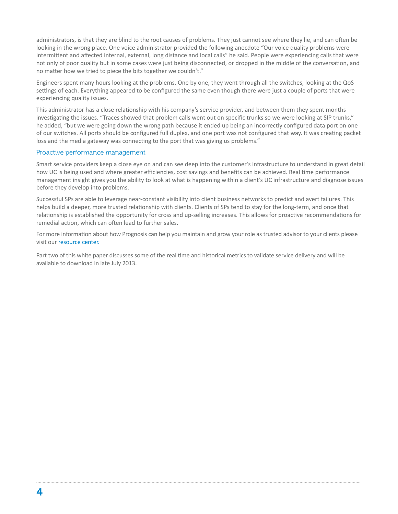administrators, is that they are blind to the root causes of problems. They just cannot see where they lie, and can often be looking in the wrong place. One voice administrator provided the following anecdote "Our voice quality problems were intermittent and affected internal, external, long distance and local calls" he said. People were experiencing calls that were not only of poor quality but in some cases were just being disconnected, or dropped in the middle of the conversation, and no matter how we tried to piece the bits together we couldn't."

Engineers spent many hours looking at the problems. One by one, they went through all the switches, looking at the QoS settings of each. Everything appeared to be configured the same even though there were just a couple of ports that were experiencing quality issues.

This administrator has a close relationship with his company's service provider, and between them they spent months investigating the issues. "Traces showed that problem calls went out on specific trunks so we were looking at SIP trunks," he added, "but we were going down the wrong path because it ended up being an incorrectly configured data port on one of our switches. All ports should be configured full duplex, and one port was not configured that way. It was creating packet loss and the media gateway was connecting to the port that was giving us problems."

#### Proactive performance management

Smart service providers keep a close eye on and can see deep into the customer's infrastructure to understand in great detail how UC is being used and where greater efficiencies, cost savings and benefits can be achieved. Real time performance management insight gives you the ability to look at what is happening within a client's UC infrastructure and diagnose issues before they develop into problems.

Successful SPs are able to leverage near-constant visibility into client business networks to predict and avert failures. This helps build a deeper, more trusted relationship with clients. Clients of SPs tend to stay for the long-term, and once that relationship is established the opportunity for cross and up-selling increases. This allows for proactive recommendations for remedial action, which can often lead to further sales.

For more information about how Prognosis can help you maintain and grow your role as trusted advisor to your clients please visit our [resource center.](http://www.prognosis.com/resources/)

Part two of this white paper discusses some of the real time and historical metrics to validate service delivery and will be available to download in late July 2013.